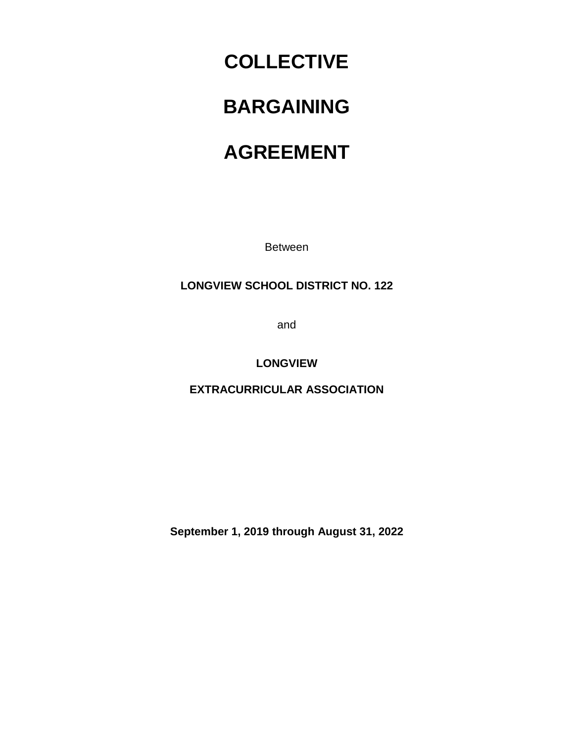# **COLLECTIVE**

# **BARGAINING**

# **AGREEMENT**

Between

## **LONGVIEW SCHOOL DISTRICT NO. 122**

and

### **LONGVIEW**

**EXTRACURRICULAR ASSOCIATION**

**September 1, 2019 through August 31, 2022**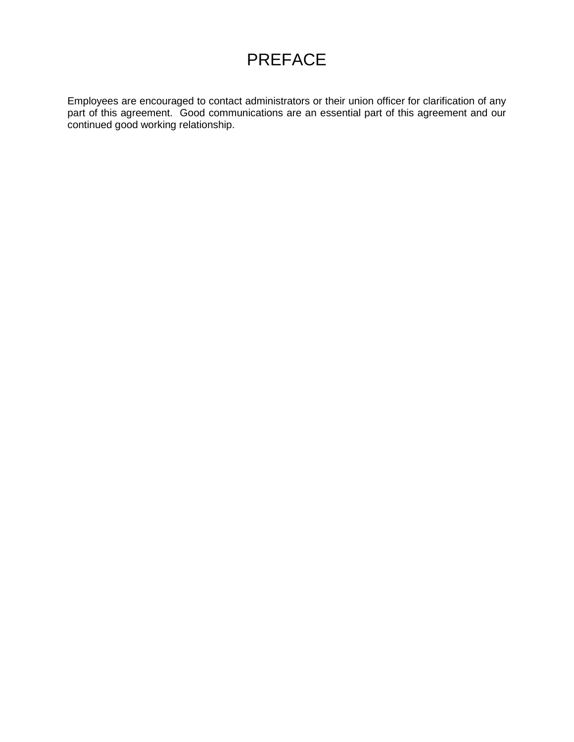# PREFACE

Employees are encouraged to contact administrators or their union officer for clarification of any part of this agreement. Good communications are an essential part of this agreement and our continued good working relationship.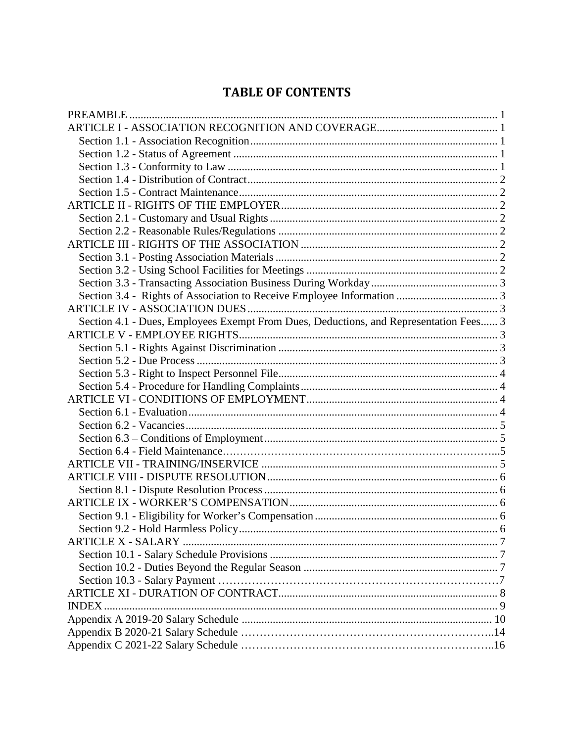# **TABLE OF CONTENTS**

| Section 4.1 - Dues, Employees Exempt From Dues, Deductions, and Representation Fees 3 |  |
|---------------------------------------------------------------------------------------|--|
|                                                                                       |  |
|                                                                                       |  |
|                                                                                       |  |
|                                                                                       |  |
|                                                                                       |  |
|                                                                                       |  |
|                                                                                       |  |
|                                                                                       |  |
|                                                                                       |  |
|                                                                                       |  |
|                                                                                       |  |
|                                                                                       |  |
|                                                                                       |  |
|                                                                                       |  |
|                                                                                       |  |
|                                                                                       |  |
|                                                                                       |  |
|                                                                                       |  |
|                                                                                       |  |
|                                                                                       |  |
|                                                                                       |  |
| INDEX.                                                                                |  |
|                                                                                       |  |
|                                                                                       |  |
|                                                                                       |  |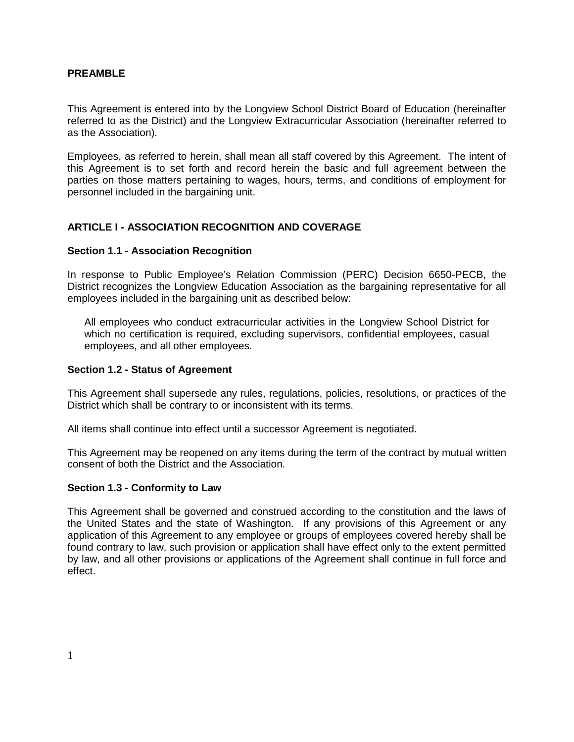### <span id="page-3-0"></span>**PREAMBLE**

This Agreement is entered into by the Longview School District Board of Education (hereinafter referred to as the District) and the Longview Extracurricular Association (hereinafter referred to as the Association).

Employees, as referred to herein, shall mean all staff covered by this Agreement. The intent of this Agreement is to set forth and record herein the basic and full agreement between the parties on those matters pertaining to wages, hours, terms, and conditions of employment for personnel included in the bargaining unit.

### <span id="page-3-1"></span>**ARTICLE I - ASSOCIATION RECOGNITION AND COVERAGE**

### <span id="page-3-2"></span>**Section 1.1 - Association Recognition**

In response to Public Employee's Relation Commission (PERC) Decision 6650-PECB, the District recognizes the Longview Education Association as the bargaining representative for all employees included in the bargaining unit as described below:

All employees who conduct extracurricular activities in the Longview School District for which no certification is required, excluding supervisors, confidential employees, casual employees, and all other employees.

### <span id="page-3-3"></span>**Section 1.2 - Status of Agreement**

This Agreement shall supersede any rules, regulations, policies, resolutions, or practices of the District which shall be contrary to or inconsistent with its terms.

All items shall continue into effect until a successor Agreement is negotiated.

This Agreement may be reopened on any items during the term of the contract by mutual written consent of both the District and the Association.

#### <span id="page-3-4"></span>**Section 1.3 - Conformity to Law**

This Agreement shall be governed and construed according to the constitution and the laws of the United States and the state of Washington. If any provisions of this Agreement or any application of this Agreement to any employee or groups of employees covered hereby shall be found contrary to law, such provision or application shall have effect only to the extent permitted by law, and all other provisions or applications of the Agreement shall continue in full force and effect.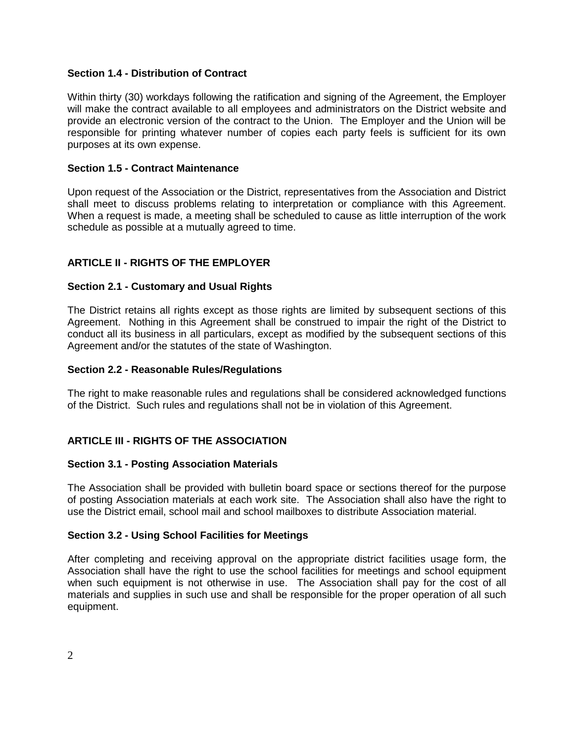### <span id="page-4-0"></span>**Section 1.4 - Distribution of Contract**

Within thirty (30) workdays following the ratification and signing of the Agreement, the Employer will make the contract available to all employees and administrators on the District website and provide an electronic version of the contract to the Union. The Employer and the Union will be responsible for printing whatever number of copies each party feels is sufficient for its own purposes at its own expense.

### <span id="page-4-1"></span>**Section 1.5 - Contract Maintenance**

Upon request of the Association or the District, representatives from the Association and District shall meet to discuss problems relating to interpretation or compliance with this Agreement. When a request is made, a meeting shall be scheduled to cause as little interruption of the work schedule as possible at a mutually agreed to time.

### <span id="page-4-2"></span>**ARTICLE II - RIGHTS OF THE EMPLOYER**

### <span id="page-4-3"></span>**Section 2.1 - Customary and Usual Rights**

The District retains all rights except as those rights are limited by subsequent sections of this Agreement. Nothing in this Agreement shall be construed to impair the right of the District to conduct all its business in all particulars, except as modified by the subsequent sections of this Agreement and/or the statutes of the state of Washington.

### <span id="page-4-4"></span>**Section 2.2 - Reasonable Rules/Regulations**

The right to make reasonable rules and regulations shall be considered acknowledged functions of the District. Such rules and regulations shall not be in violation of this Agreement.

### <span id="page-4-5"></span>**ARTICLE III - RIGHTS OF THE ASSOCIATION**

#### <span id="page-4-6"></span>**Section 3.1 - Posting Association Materials**

The Association shall be provided with bulletin board space or sections thereof for the purpose of posting Association materials at each work site. The Association shall also have the right to use the District email, school mail and school mailboxes to distribute Association material.

#### <span id="page-4-7"></span>**Section 3.2 - Using School Facilities for Meetings**

After completing and receiving approval on the appropriate district facilities usage form, the Association shall have the right to use the school facilities for meetings and school equipment when such equipment is not otherwise in use. The Association shall pay for the cost of all materials and supplies in such use and shall be responsible for the proper operation of all such equipment.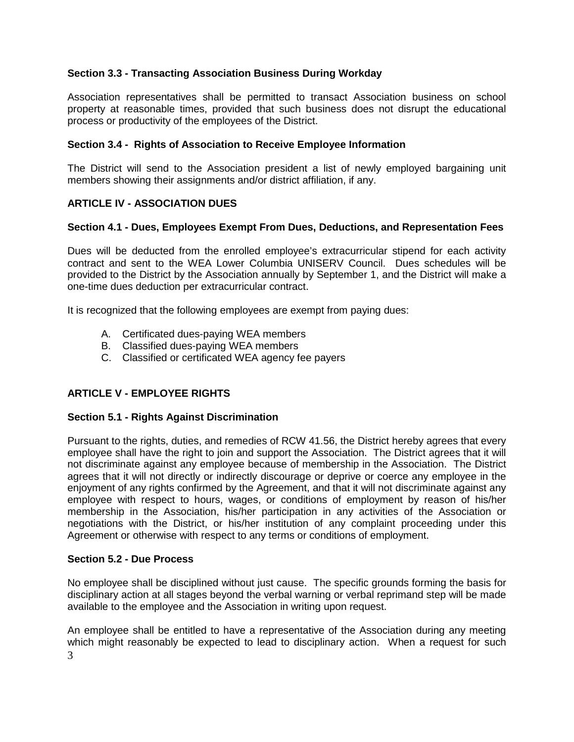### <span id="page-5-0"></span>**Section 3.3 - Transacting Association Business During Workday**

Association representatives shall be permitted to transact Association business on school property at reasonable times, provided that such business does not disrupt the educational process or productivity of the employees of the District.

### <span id="page-5-1"></span>**Section 3.4 - Rights of Association to Receive Employee Information**

The District will send to the Association president a list of newly employed bargaining unit members showing their assignments and/or district affiliation, if any.

### <span id="page-5-2"></span>**ARTICLE IV - ASSOCIATION DUES**

### <span id="page-5-3"></span>**Section 4.1 - Dues, Employees Exempt From Dues, Deductions, and Representation Fees**

Dues will be deducted from the enrolled employee's extracurricular stipend for each activity contract and sent to the WEA Lower Columbia UNISERV Council. Dues schedules will be provided to the District by the Association annually by September 1, and the District will make a one-time dues deduction per extracurricular contract.

It is recognized that the following employees are exempt from paying dues:

- A. Certificated dues-paying WEA members
- B. Classified dues-paying WEA members
- C. Classified or certificated WEA agency fee payers

### <span id="page-5-4"></span>**ARTICLE V - EMPLOYEE RIGHTS**

#### <span id="page-5-5"></span>**Section 5.1 - Rights Against Discrimination**

Pursuant to the rights, duties, and remedies of RCW 41.56, the District hereby agrees that every employee shall have the right to join and support the Association. The District agrees that it will not discriminate against any employee because of membership in the Association. The District agrees that it will not directly or indirectly discourage or deprive or coerce any employee in the enjoyment of any rights confirmed by the Agreement, and that it will not discriminate against any employee with respect to hours, wages, or conditions of employment by reason of his/her membership in the Association, his/her participation in any activities of the Association or negotiations with the District, or his/her institution of any complaint proceeding under this Agreement or otherwise with respect to any terms or conditions of employment.

#### <span id="page-5-6"></span>**Section 5.2 - Due Process**

No employee shall be disciplined without just cause. The specific grounds forming the basis for disciplinary action at all stages beyond the verbal warning or verbal reprimand step will be made available to the employee and the Association in writing upon request.

3 An employee shall be entitled to have a representative of the Association during any meeting which might reasonably be expected to lead to disciplinary action. When a request for such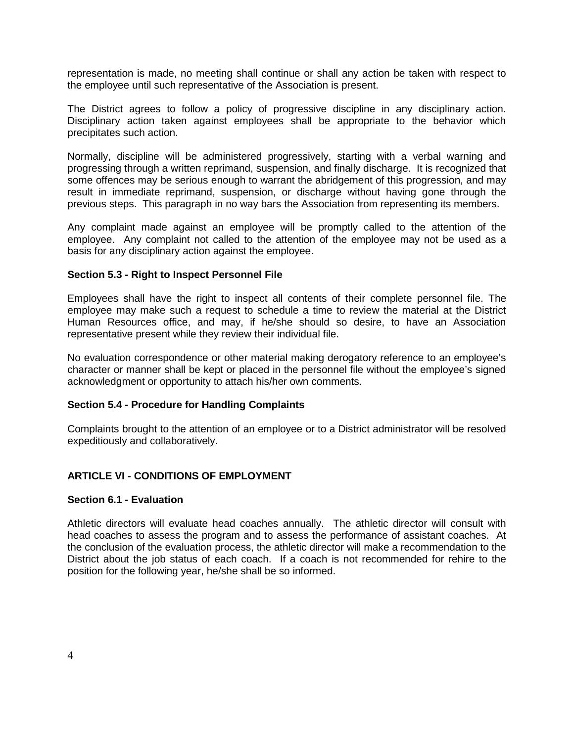representation is made, no meeting shall continue or shall any action be taken with respect to the employee until such representative of the Association is present.

The District agrees to follow a policy of progressive discipline in any disciplinary action. Disciplinary action taken against employees shall be appropriate to the behavior which precipitates such action.

Normally, discipline will be administered progressively, starting with a verbal warning and progressing through a written reprimand, suspension, and finally discharge. It is recognized that some offences may be serious enough to warrant the abridgement of this progression, and may result in immediate reprimand, suspension, or discharge without having gone through the previous steps. This paragraph in no way bars the Association from representing its members.

Any complaint made against an employee will be promptly called to the attention of the employee. Any complaint not called to the attention of the employee may not be used as a basis for any disciplinary action against the employee.

#### <span id="page-6-0"></span>**Section 5.3 - Right to Inspect Personnel File**

Employees shall have the right to inspect all contents of their complete personnel file. The employee may make such a request to schedule a time to review the material at the District Human Resources office, and may, if he/she should so desire, to have an Association representative present while they review their individual file.

No evaluation correspondence or other material making derogatory reference to an employee's character or manner shall be kept or placed in the personnel file without the employee's signed acknowledgment or opportunity to attach his/her own comments.

#### <span id="page-6-1"></span>**Section 5.4 - Procedure for Handling Complaints**

Complaints brought to the attention of an employee or to a District administrator will be resolved expeditiously and collaboratively.

### <span id="page-6-2"></span>**ARTICLE VI - CONDITIONS OF EMPLOYMENT**

#### <span id="page-6-3"></span>**Section 6.1 - Evaluation**

Athletic directors will evaluate head coaches annually. The athletic director will consult with head coaches to assess the program and to assess the performance of assistant coaches. At the conclusion of the evaluation process, the athletic director will make a recommendation to the District about the job status of each coach. If a coach is not recommended for rehire to the position for the following year, he/she shall be so informed.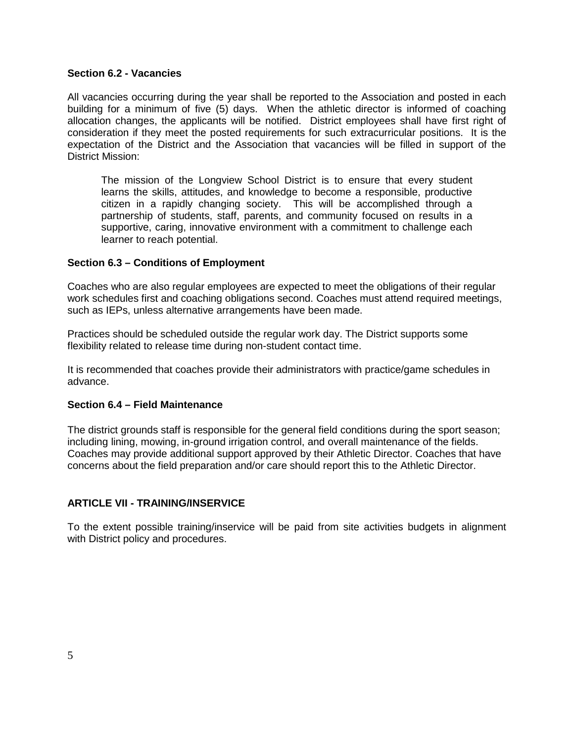### <span id="page-7-0"></span>**Section 6.2 - Vacancies**

All vacancies occurring during the year shall be reported to the Association and posted in each building for a minimum of five (5) days. When the athletic director is informed of coaching allocation changes, the applicants will be notified. District employees shall have first right of consideration if they meet the posted requirements for such extracurricular positions. It is the expectation of the District and the Association that vacancies will be filled in support of the District Mission:

The mission of the Longview School District is to ensure that every student learns the skills, attitudes, and knowledge to become a responsible, productive citizen in a rapidly changing society. This will be accomplished through a partnership of students, staff, parents, and community focused on results in a supportive, caring, innovative environment with a commitment to challenge each learner to reach potential.

### <span id="page-7-1"></span>**Section 6.3 – Conditions of Employment**

Coaches who are also regular employees are expected to meet the obligations of their regular work schedules first and coaching obligations second. Coaches must attend required meetings, such as IEPs, unless alternative arrangements have been made.

Practices should be scheduled outside the regular work day. The District supports some flexibility related to release time during non-student contact time.

It is recommended that coaches provide their administrators with practice/game schedules in advance.

#### <span id="page-7-2"></span>**Section 6.4 – Field Maintenance**

The district grounds staff is responsible for the general field conditions during the sport season; including lining, mowing, in-ground irrigation control, and overall maintenance of the fields. Coaches may provide additional support approved by their Athletic Director. Coaches that have concerns about the field preparation and/or care should report this to the Athletic Director.

### **ARTICLE VII - TRAINING/INSERVICE**

To the extent possible training/inservice will be paid from site activities budgets in alignment with District policy and procedures.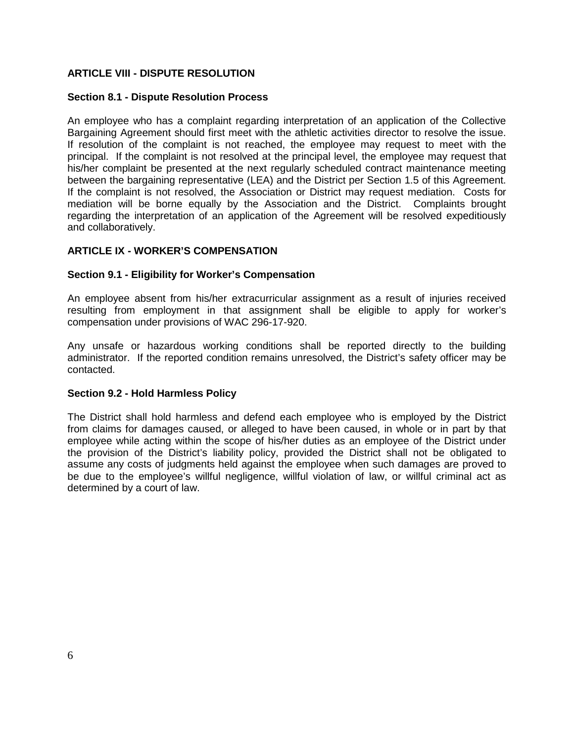### <span id="page-8-0"></span>**ARTICLE VIII - DISPUTE RESOLUTION**

### <span id="page-8-1"></span>**Section 8.1 - Dispute Resolution Process**

An employee who has a complaint regarding interpretation of an application of the Collective Bargaining Agreement should first meet with the athletic activities director to resolve the issue. If resolution of the complaint is not reached, the employee may request to meet with the principal. If the complaint is not resolved at the principal level, the employee may request that his/her complaint be presented at the next regularly scheduled contract maintenance meeting between the bargaining representative (LEA) and the District per Section 1.5 of this Agreement. If the complaint is not resolved, the Association or District may request mediation. Costs for mediation will be borne equally by the Association and the District. Complaints brought regarding the interpretation of an application of the Agreement will be resolved expeditiously and collaboratively.

### <span id="page-8-2"></span>**ARTICLE IX - WORKER'S COMPENSATION**

### <span id="page-8-3"></span>**Section 9.1 - Eligibility for Worker's Compensation**

An employee absent from his/her extracurricular assignment as a result of injuries received resulting from employment in that assignment shall be eligible to apply for worker's compensation under provisions of WAC 296-17-920.

Any unsafe or hazardous working conditions shall be reported directly to the building administrator. If the reported condition remains unresolved, the District's safety officer may be contacted.

#### <span id="page-8-4"></span>**Section 9.2 - Hold Harmless Policy**

The District shall hold harmless and defend each employee who is employed by the District from claims for damages caused, or alleged to have been caused, in whole or in part by that employee while acting within the scope of his/her duties as an employee of the District under the provision of the District's liability policy, provided the District shall not be obligated to assume any costs of judgments held against the employee when such damages are proved to be due to the employee's willful negligence, willful violation of law, or willful criminal act as determined by a court of law.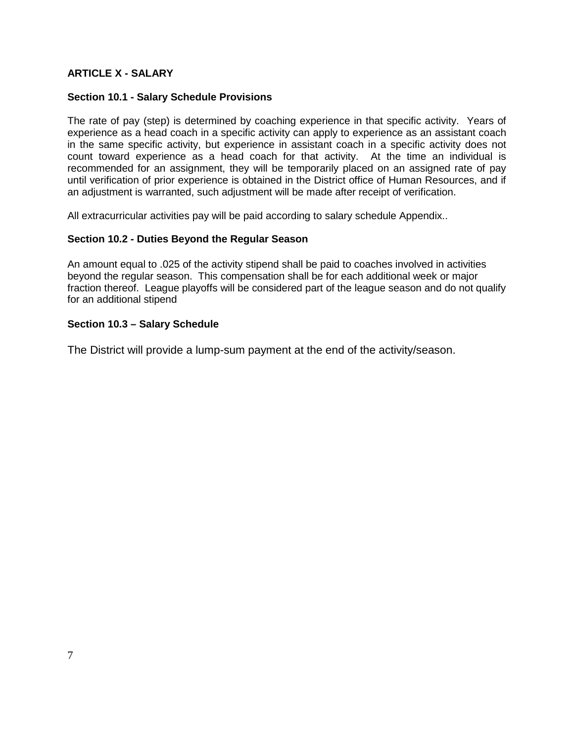### <span id="page-9-0"></span>**ARTICLE X - SALARY**

### <span id="page-9-1"></span>**Section 10.1 - Salary Schedule Provisions**

The rate of pay (step) is determined by coaching experience in that specific activity. Years of experience as a head coach in a specific activity can apply to experience as an assistant coach in the same specific activity, but experience in assistant coach in a specific activity does not count toward experience as a head coach for that activity. At the time an individual is recommended for an assignment, they will be temporarily placed on an assigned rate of pay until verification of prior experience is obtained in the District office of Human Resources, and if an adjustment is warranted, such adjustment will be made after receipt of verification.

All extracurricular activities pay will be paid according to salary schedule Appendix..

### <span id="page-9-2"></span>**Section 10.2 - Duties Beyond the Regular Season**

An amount equal to .025 of the activity stipend shall be paid to coaches involved in activities beyond the regular season. This compensation shall be for each additional week or major fraction thereof. League playoffs will be considered part of the league season and do not qualify for an additional stipend

### <span id="page-9-3"></span>**Section 10.3 – Salary Schedule**

The District will provide a lump-sum payment at the end of the activity/season.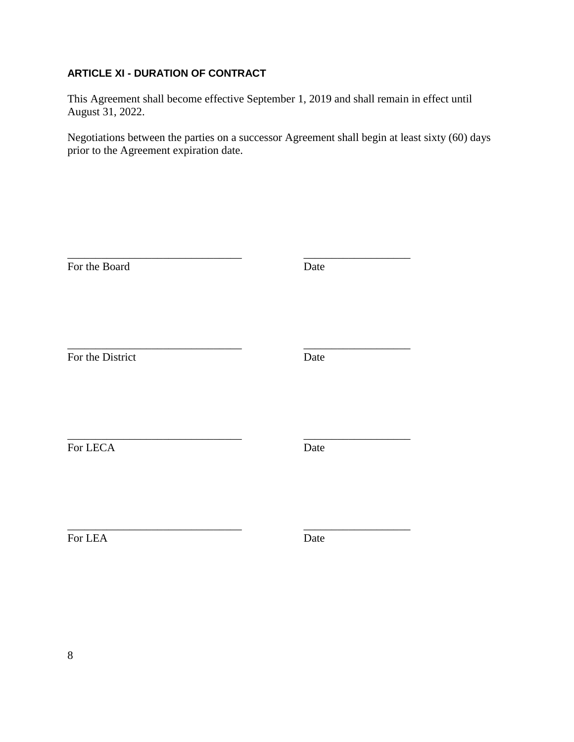### **ARTICLE XI - DURATION OF CONTRACT**

This Agreement shall become effective September 1, 2019 and shall remain in effect until August 31, 2022.

Negotiations between the parties on a successor Agreement shall begin at least sixty (60) days prior to the Agreement expiration date.

| For the Board    | Date |  |
|------------------|------|--|
| For the District | Date |  |
| For LECA         | Date |  |
| For LEA          | Date |  |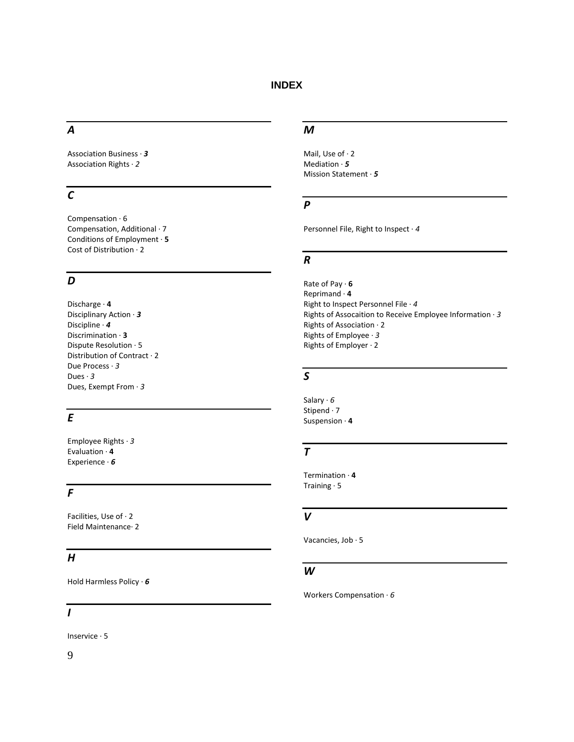### <span id="page-11-0"></span>*A*

Association Business · *3* Association Rights · *2*

### *C*

Compensation · 6 Compensation, Additional · 7 Conditions of Employment · **5** Cost of Distribution · 2

### *D*

Discharge · **4** Disciplinary Action · *3* Discipline · *4* Discrimination · **3** Dispute Resolution · 5 Distribution of Contract · 2 Due Process · *3* Dues · *3* Dues, Exempt From · *3*

### *E*

Employee Rights · *3* Evaluation · **4** Experience · *6*

### *F*

Facilities, Use of · 2 Field Maintenance· 2

### *H*

Hold Harmless Policy · *6*

#### *I*

Inservice · 5

### 9

#### *M*

Mail, Use of · 2 Mediation · *5* Mission Statement · *5*

### *P*

Personnel File, Right to Inspect · *4*

### *R*

Rate of Pay · **6** Reprimand · **4** Right to Inspect Personnel File · *4* Rights of Assocaition to Receive Employee Information · *3* Rights of Association · 2 Rights of Employee · *3* Rights of Employer · 2

### *S*

Salary · *6* Stipend · 7 Suspension · **4**

#### *T*

Termination · **4** Training · 5

### *V*

Vacancies, Job · 5

#### *W*

Workers Compensation · *6*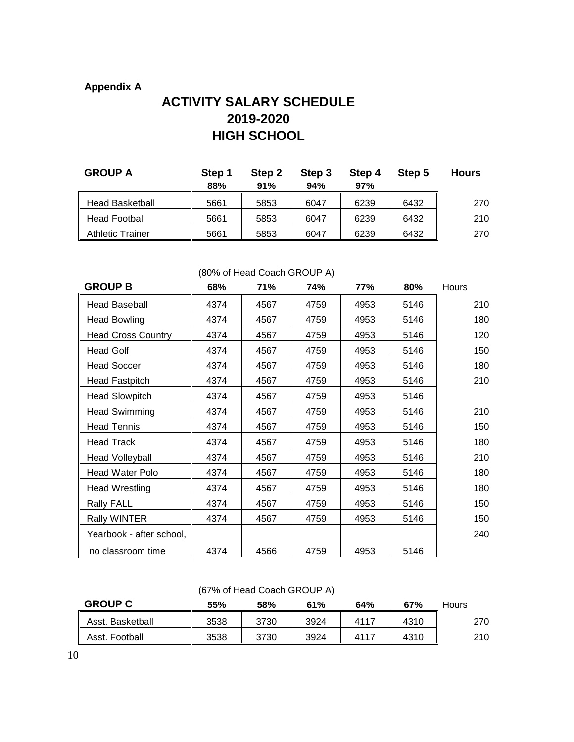### <span id="page-12-0"></span>**Appendix A**

# **ACTIVITY SALARY SCHEDULE 2019-2020 HIGH SCHOOL**

| <b>GROUP A</b>          | Step 1<br>88% | Step 2<br>91% | Step 3<br>94% | Step 4<br>97% | Step 5 | <b>Hours</b> |
|-------------------------|---------------|---------------|---------------|---------------|--------|--------------|
| <b>Head Basketball</b>  | 5661          | 5853          | 6047          | 6239          | 6432   | 270          |
| <b>Head Football</b>    | 5661          | 5853          | 6047          | 6239          | 6432   | 210          |
| <b>Athletic Trainer</b> | 5661          | 5853          | 6047          | 6239          | 6432   | 270          |

| <b>GROUP B</b>            | 68%  | 71%  | 74%  | 77%  | 80%  | Hours |
|---------------------------|------|------|------|------|------|-------|
| <b>Head Baseball</b>      | 4374 | 4567 | 4759 | 4953 | 5146 | 210   |
| <b>Head Bowling</b>       | 4374 | 4567 | 4759 | 4953 | 5146 | 180   |
| <b>Head Cross Country</b> | 4374 | 4567 | 4759 | 4953 | 5146 | 120   |
| <b>Head Golf</b>          | 4374 | 4567 | 4759 | 4953 | 5146 | 150   |
| <b>Head Soccer</b>        | 4374 | 4567 | 4759 | 4953 | 5146 | 180   |
| <b>Head Fastpitch</b>     | 4374 | 4567 | 4759 | 4953 | 5146 | 210   |
| <b>Head Slowpitch</b>     | 4374 | 4567 | 4759 | 4953 | 5146 |       |
| <b>Head Swimming</b>      | 4374 | 4567 | 4759 | 4953 | 5146 | 210   |
| <b>Head Tennis</b>        | 4374 | 4567 | 4759 | 4953 | 5146 | 150   |
| <b>Head Track</b>         | 4374 | 4567 | 4759 | 4953 | 5146 | 180   |
| <b>Head Volleyball</b>    | 4374 | 4567 | 4759 | 4953 | 5146 | 210   |
| Head Water Polo           | 4374 | 4567 | 4759 | 4953 | 5146 | 180   |
| <b>Head Wrestling</b>     | 4374 | 4567 | 4759 | 4953 | 5146 | 180   |
| <b>Rally FALL</b>         | 4374 | 4567 | 4759 | 4953 | 5146 | 150   |
| <b>Rally WINTER</b>       | 4374 | 4567 | 4759 | 4953 | 5146 | 150   |
| Yearbook - after school,  |      |      |      |      |      | 240   |
| no classroom time         | 4374 | 4566 | 4759 | 4953 | 5146 |       |

#### (80% of Head Coach GROUP A)

### (67% of Head Coach GROUP A)

| <b>GROUP C</b>   | 55%  | 58%  | 61%  | 64%   | 67%  | Hours |
|------------------|------|------|------|-------|------|-------|
| Asst. Basketball | 3538 | 3730 | 3924 | -411  | 4310 | 270   |
| Asst. Football   | 3538 | 3730 | 3924 | -4117 | 4310 | 210   |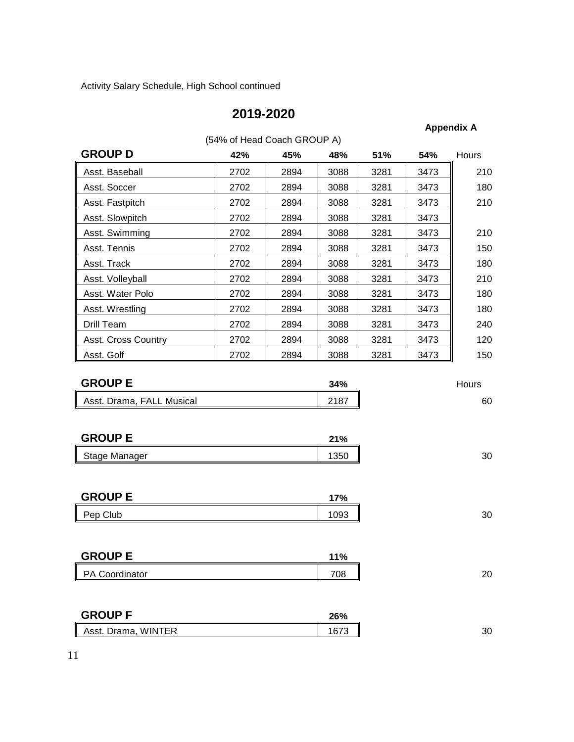Activity Salary Schedule, High School continued

### **2019-2020**

### **Appendix A**

| (54% of Head Coach GROUP A) |      |      |      |      |      |              |  |  |
|-----------------------------|------|------|------|------|------|--------------|--|--|
| <b>GROUP D</b>              | 42%  | 45%  | 48%  | 51%  | 54%  | <b>Hours</b> |  |  |
| Asst. Baseball              | 2702 | 2894 | 3088 | 3281 | 3473 | 210          |  |  |
| Asst. Soccer                | 2702 | 2894 | 3088 | 3281 | 3473 | 180          |  |  |
| Asst. Fastpitch             | 2702 | 2894 | 3088 | 3281 | 3473 | 210          |  |  |
| Asst. Slowpitch             | 2702 | 2894 | 3088 | 3281 | 3473 |              |  |  |
| Asst. Swimming              | 2702 | 2894 | 3088 | 3281 | 3473 | 210          |  |  |
| Asst. Tennis                | 2702 | 2894 | 3088 | 3281 | 3473 | 150          |  |  |
| Asst. Track                 | 2702 | 2894 | 3088 | 3281 | 3473 | 180          |  |  |
| Asst. Volleyball            | 2702 | 2894 | 3088 | 3281 | 3473 | 210          |  |  |
| Asst. Water Polo            | 2702 | 2894 | 3088 | 3281 | 3473 | 180          |  |  |
| Asst. Wrestling             | 2702 | 2894 | 3088 | 3281 | 3473 | 180          |  |  |
| Drill Team                  | 2702 | 2894 | 3088 | 3281 | 3473 | 240          |  |  |
| Asst. Cross Country         | 2702 | 2894 | 3088 | 3281 | 3473 | 120          |  |  |
| Asst. Golf                  | 2702 | 2894 | 3088 | 3281 | 3473 | 150          |  |  |

| <b>GROUP E</b>            | 34%  | Hours |
|---------------------------|------|-------|
| Asst. Drama, FALL Musical | 2187 | 60    |

| <b>GROUP E</b>      | 21% |         |
|---------------------|-----|---------|
| II<br>Stage Manager | 350 | ົ<br>οU |

| <b>GROUP E</b> | 17% |    |
|----------------|-----|----|
| Club<br>Pep    | ∩∩≏ | 30 |

| <b>GROUP E</b> | 11% |    |
|----------------|-----|----|
| PA Coordinator | 708 | 20 |

| <b>GROUP F</b>      | 26% |    |
|---------------------|-----|----|
| Asst. Drama, WINTER | . ت | 30 |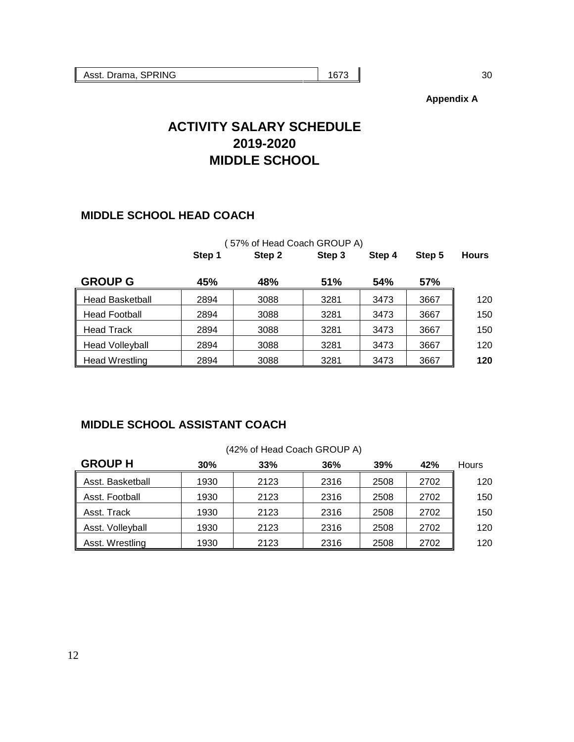**Appendix A**

# **ACTIVITY SALARY SCHEDULE 2019-2020 MIDDLE SCHOOL**

### **MIDDLE SCHOOL HEAD COACH**

|                        |        | (57% of Head Coach GROUP A) |        |        |        |              |
|------------------------|--------|-----------------------------|--------|--------|--------|--------------|
|                        | Step 1 | Step 2                      | Step 3 | Step 4 | Step 5 | <b>Hours</b> |
| <b>GROUP G</b>         | 45%    | 48%                         | 51%    | 54%    | 57%    |              |
| <b>Head Basketball</b> | 2894   | 3088                        | 3281   | 3473   | 3667   | 120          |
| <b>Head Football</b>   | 2894   | 3088                        | 3281   | 3473   | 3667   | 150          |
| <b>Head Track</b>      | 2894   | 3088                        | 3281   | 3473   | 3667   | 150          |
| <b>Head Volleyball</b> | 2894   | 3088                        | 3281   | 3473   | 3667   | 120          |
| Head Wrestling         | 2894   | 3088                        | 3281   | 3473   | 3667   | 120          |

### **MIDDLE SCHOOL ASSISTANT COACH**

| <b>GROUP H</b>   | 30%  | 33%  | 36%  | 39%  | 42%  | <b>Hours</b> |
|------------------|------|------|------|------|------|--------------|
| Asst. Basketball | 1930 | 2123 | 2316 | 2508 | 2702 | 120          |
| Asst. Football   | 1930 | 2123 | 2316 | 2508 | 2702 | 150          |
| Asst. Track      | 1930 | 2123 | 2316 | 2508 | 2702 | 150          |
| Asst. Volleyball | 1930 | 2123 | 2316 | 2508 | 2702 | 120          |
| Asst. Wrestling  | 1930 | 2123 | 2316 | 2508 | 2702 | 120          |

#### (42% of Head Coach GROUP A)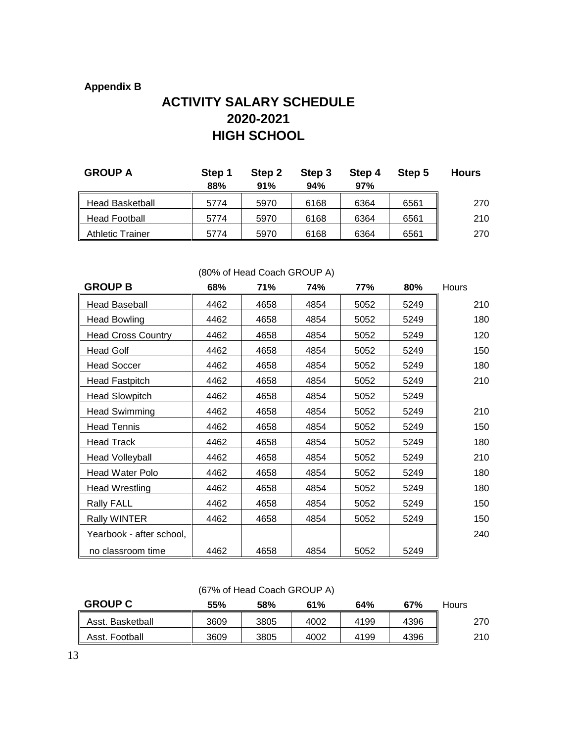### **Appendix B**

# **ACTIVITY SALARY SCHEDULE 2020-2021 HIGH SCHOOL**

| <b>GROUP A</b>          | Step 1<br>88% | Step 2<br>91% | Step 3<br>94% | Step 4<br>97% | Step 5 | <b>Hours</b> |
|-------------------------|---------------|---------------|---------------|---------------|--------|--------------|
| <b>Head Basketball</b>  | 5774          | 5970          | 6168          | 6364          | 6561   | 270          |
| <b>Head Football</b>    | 5774          | 5970          | 6168          | 6364          | 6561   | 210          |
| <b>Athletic Trainer</b> | 5774          | 5970          | 6168          | 6364          | 6561   | 270          |

| <b>GROUP B</b>            | 68%  | 71%  | 74%  | 77%  | 80%  | Hours |
|---------------------------|------|------|------|------|------|-------|
| <b>Head Baseball</b>      | 4462 | 4658 | 4854 | 5052 | 5249 | 210   |
| <b>Head Bowling</b>       | 4462 | 4658 | 4854 | 5052 | 5249 | 180   |
| <b>Head Cross Country</b> | 4462 | 4658 | 4854 | 5052 | 5249 | 120   |
| <b>Head Golf</b>          | 4462 | 4658 | 4854 | 5052 | 5249 | 150   |
| <b>Head Soccer</b>        | 4462 | 4658 | 4854 | 5052 | 5249 | 180   |
| <b>Head Fastpitch</b>     | 4462 | 4658 | 4854 | 5052 | 5249 | 210   |
| <b>Head Slowpitch</b>     | 4462 | 4658 | 4854 | 5052 | 5249 |       |
| <b>Head Swimming</b>      | 4462 | 4658 | 4854 | 5052 | 5249 | 210   |
| <b>Head Tennis</b>        | 4462 | 4658 | 4854 | 5052 | 5249 | 150   |
| <b>Head Track</b>         | 4462 | 4658 | 4854 | 5052 | 5249 | 180   |
| <b>Head Volleyball</b>    | 4462 | 4658 | 4854 | 5052 | 5249 | 210   |
| Head Water Polo           | 4462 | 4658 | 4854 | 5052 | 5249 | 180   |
| Head Wrestling            | 4462 | 4658 | 4854 | 5052 | 5249 | 180   |
| <b>Rally FALL</b>         | 4462 | 4658 | 4854 | 5052 | 5249 | 150   |
| <b>Rally WINTER</b>       | 4462 | 4658 | 4854 | 5052 | 5249 | 150   |
| Yearbook - after school,  |      |      |      |      |      | 240   |
| no classroom time         | 4462 | 4658 | 4854 | 5052 | 5249 |       |

### (80% of Head Coach GROUP A)

### (67% of Head Coach GROUP A)

| <b>GROUP C</b>   | 55%  | 58%  | 61%  | 64%  | 67%  | Hours |
|------------------|------|------|------|------|------|-------|
| Asst. Basketball | 3609 | 3805 | 4002 | 4199 | 4396 | 270   |
| Asst. Football   | 3609 | 3805 | 4002 | 4199 | 4396 | 210   |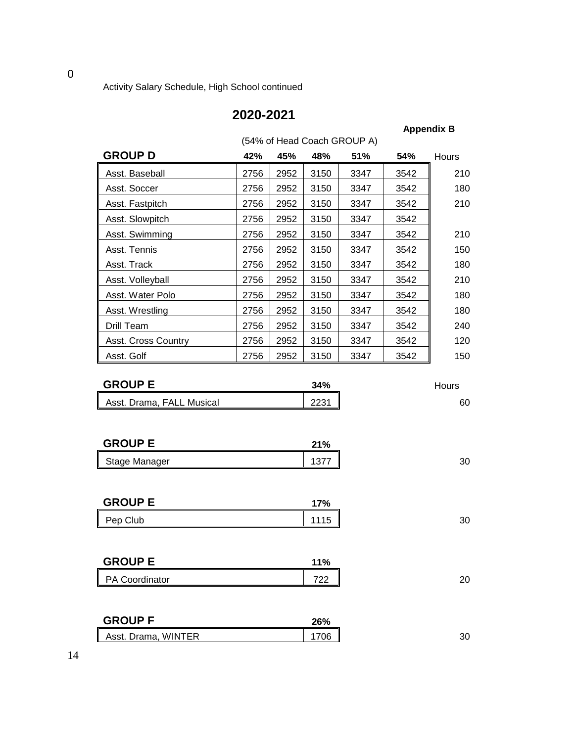Activity Salary Schedule, High School continued

## **2020-2021**

**Appendix B**

|                     | (54% of Head Coach GROUP A) |      |      |      |      |       |  |  |
|---------------------|-----------------------------|------|------|------|------|-------|--|--|
| <b>GROUP D</b>      | 42%                         | 45%  | 48%  | 51%  | 54%  | Hours |  |  |
| Asst. Baseball      | 2756                        | 2952 | 3150 | 3347 | 3542 | 210   |  |  |
| Asst. Soccer        | 2756                        | 2952 | 3150 | 3347 | 3542 | 180   |  |  |
| Asst. Fastpitch     | 2756                        | 2952 | 3150 | 3347 | 3542 | 210   |  |  |
| Asst. Slowpitch     | 2756                        | 2952 | 3150 | 3347 | 3542 |       |  |  |
| Asst. Swimming      | 2756                        | 2952 | 3150 | 3347 | 3542 | 210   |  |  |
| Asst. Tennis        | 2756                        | 2952 | 3150 | 3347 | 3542 | 150   |  |  |
| Asst. Track         | 2756                        | 2952 | 3150 | 3347 | 3542 | 180   |  |  |
| Asst. Volleyball    | 2756                        | 2952 | 3150 | 3347 | 3542 | 210   |  |  |
| Asst. Water Polo    | 2756                        | 2952 | 3150 | 3347 | 3542 | 180   |  |  |
| Asst. Wrestling     | 2756                        | 2952 | 3150 | 3347 | 3542 | 180   |  |  |
| Drill Team          | 2756                        | 2952 | 3150 | 3347 | 3542 | 240   |  |  |
| Asst. Cross Country | 2756                        | 2952 | 3150 | 3347 | 3542 | 120   |  |  |
| Asst. Golf          | 2756                        | 2952 | 3150 | 3347 | 3542 | 150   |  |  |

| <b>GROUP E</b>            | 34%         | Hours |
|---------------------------|-------------|-------|
| Asst. Drama, FALL Musical | ററാ<br>220. | 60    |

| <b>GROUP E</b> | 21%  |
|----------------|------|
| Stage Manager  | ו ש' |

| <b>GROUP E</b> | 17%           |    |
|----------------|---------------|----|
| Pep Club       | 1115<br>ن ا ا | 30 |

| <b>GROUP E</b>        | 11%       |          |
|-----------------------|-----------|----------|
| <b>PA Coordinator</b> | 700<br>∠∠ | ററ<br>∠∪ |

| <b>GROUP F</b>      | 26% |    |
|---------------------|-----|----|
| Asst. Drama, WINTER | 706 | 30 |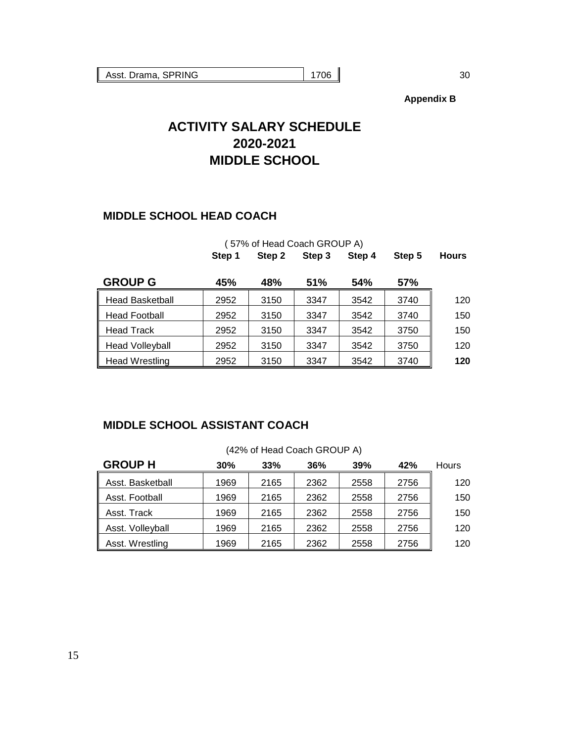**Appendix B**

# **ACTIVITY SALARY SCHEDULE 2020-2021 MIDDLE SCHOOL**

### **MIDDLE SCHOOL HEAD COACH**

|                        | (57% of Head Coach GROUP A) |        |            |        |        |              |  |
|------------------------|-----------------------------|--------|------------|--------|--------|--------------|--|
|                        | Step 1                      | Step 2 | Step 3     | Step 4 | Step 5 | <b>Hours</b> |  |
| <b>GROUP G</b>         | 45%                         | 48%    | <b>51%</b> | 54%    | 57%    |              |  |
| <b>Head Basketball</b> | 2952                        | 3150   | 3347       | 3542   | 3740   | 120          |  |
| <b>Head Football</b>   | 2952                        | 3150   | 3347       | 3542   | 3740   | 150          |  |
| <b>Head Track</b>      | 2952                        | 3150   | 3347       | 3542   | 3750   | 150          |  |
| <b>Head Volleyball</b> | 2952                        | 3150   | 3347       | 3542   | 3750   | 120          |  |
| <b>Head Wrestling</b>  | 2952                        | 3150   | 3347       | 3542   | 3740   | 120          |  |

### **MIDDLE SCHOOL ASSISTANT COACH**

| $1270$ of Trough Obdon Orloch TV |      |      |      |      |      |       |  |  |
|----------------------------------|------|------|------|------|------|-------|--|--|
| <b>GROUP H</b>                   | 30%  | 33%  | 36%  | 39%  | 42%  | Hours |  |  |
| Asst. Basketball                 | 1969 | 2165 | 2362 | 2558 | 2756 | 120   |  |  |
| Asst. Football                   | 1969 | 2165 | 2362 | 2558 | 2756 | 150   |  |  |
| Asst. Track                      | 1969 | 2165 | 2362 | 2558 | 2756 | 150   |  |  |
| Asst. Volleyball                 | 1969 | 2165 | 2362 | 2558 | 2756 | 120   |  |  |
| Asst. Wrestling                  | 1969 | 2165 | 2362 | 2558 | 2756 | 120   |  |  |

### (42% of Head Coach GROUP A)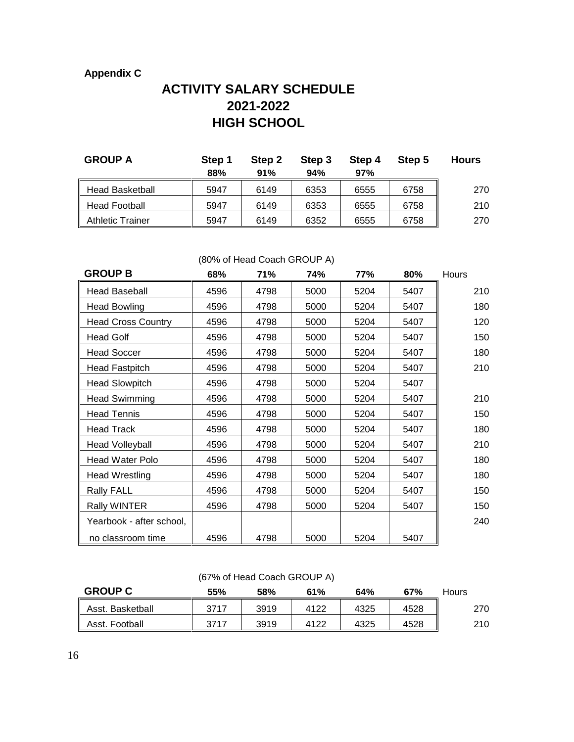### **Appendix C**

# **ACTIVITY SALARY SCHEDULE 2021-2022 HIGH SCHOOL**

| <b>GROUP A</b>          | Step 1<br>88% | Step 2<br>91% | Step 3<br>94% | Step 4<br>97% | Step 5 | <b>Hours</b> |
|-------------------------|---------------|---------------|---------------|---------------|--------|--------------|
| <b>Head Basketball</b>  | 5947          | 6149          | 6353          | 6555          | 6758   | 270          |
| <b>Head Football</b>    | 5947          | 6149          | 6353          | 6555          | 6758   | 210          |
| <b>Athletic Trainer</b> | 5947          | 6149          | 6352          | 6555          | 6758   | 270          |

### (80% of Head Coach GROUP A)

| <b>GROUP B</b>            | 68%  | 71%  | 74%  | 77%  | 80%  | Hours |
|---------------------------|------|------|------|------|------|-------|
| <b>Head Baseball</b>      | 4596 | 4798 | 5000 | 5204 | 5407 | 210   |
| <b>Head Bowling</b>       | 4596 | 4798 | 5000 | 5204 | 5407 | 180   |
| <b>Head Cross Country</b> | 4596 | 4798 | 5000 | 5204 | 5407 | 120   |
| <b>Head Golf</b>          | 4596 | 4798 | 5000 | 5204 | 5407 | 150   |
| <b>Head Soccer</b>        | 4596 | 4798 | 5000 | 5204 | 5407 | 180   |
| <b>Head Fastpitch</b>     | 4596 | 4798 | 5000 | 5204 | 5407 | 210   |
| <b>Head Slowpitch</b>     | 4596 | 4798 | 5000 | 5204 | 5407 |       |
| <b>Head Swimming</b>      | 4596 | 4798 | 5000 | 5204 | 5407 | 210   |
| <b>Head Tennis</b>        | 4596 | 4798 | 5000 | 5204 | 5407 | 150   |
| <b>Head Track</b>         | 4596 | 4798 | 5000 | 5204 | 5407 | 180   |
| <b>Head Volleyball</b>    | 4596 | 4798 | 5000 | 5204 | 5407 | 210   |
| Head Water Polo           | 4596 | 4798 | 5000 | 5204 | 5407 | 180   |
| Head Wrestling            | 4596 | 4798 | 5000 | 5204 | 5407 | 180   |
| <b>Rally FALL</b>         | 4596 | 4798 | 5000 | 5204 | 5407 | 150   |
| <b>Rally WINTER</b>       | 4596 | 4798 | 5000 | 5204 | 5407 | 150   |
| Yearbook - after school,  |      |      |      |      |      | 240   |
| no classroom time         | 4596 | 4798 | 5000 | 5204 | 5407 |       |

### (67% of Head Coach GROUP A)

| <b>GROUP C</b>   | 55%  | 58%  | 61%  | 64%  | 67%  | Hours |
|------------------|------|------|------|------|------|-------|
| Asst. Basketball | 3717 | 3919 | 4122 | 4325 | 4528 | 270   |
| Asst. Football   | 3717 | 3919 | 4122 | 4325 | 4528 | 210   |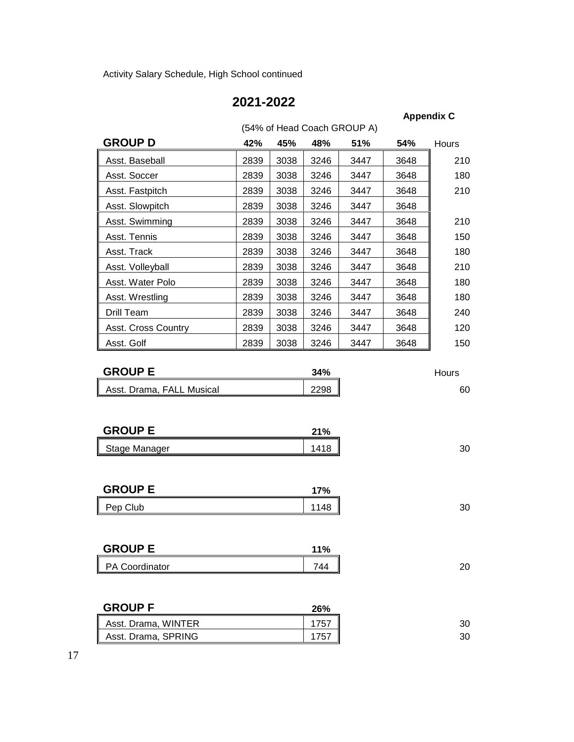Activity Salary Schedule, High School continued

# **2021-2022**

**Appendix C**

|                            |      | (54% of Head Coach GROUP A) |      |      |      |       |
|----------------------------|------|-----------------------------|------|------|------|-------|
| <b>GROUP D</b>             | 42%  | 45%                         | 48%  | 51%  | 54%  | Hours |
| Asst. Baseball             | 2839 | 3038                        | 3246 | 3447 | 3648 | 210   |
| Asst. Soccer               | 2839 | 3038                        | 3246 | 3447 | 3648 | 180   |
| Asst. Fastpitch            | 2839 | 3038                        | 3246 | 3447 | 3648 | 210   |
| Asst. Slowpitch            | 2839 | 3038                        | 3246 | 3447 | 3648 |       |
| Asst. Swimming             | 2839 | 3038                        | 3246 | 3447 | 3648 | 210   |
| Asst. Tennis               | 2839 | 3038                        | 3246 | 3447 | 3648 | 150   |
| Asst. Track                | 2839 | 3038                        | 3246 | 3447 | 3648 | 180   |
| Asst. Volleyball           | 2839 | 3038                        | 3246 | 3447 | 3648 | 210   |
| Asst. Water Polo           | 2839 | 3038                        | 3246 | 3447 | 3648 | 180   |
| Asst. Wrestling            | 2839 | 3038                        | 3246 | 3447 | 3648 | 180   |
| Drill Team                 | 2839 | 3038                        | 3246 | 3447 | 3648 | 240   |
| <b>Asst. Cross Country</b> | 2839 | 3038                        | 3246 | 3447 | 3648 | 120   |
| Asst. Golf                 | 2839 | 3038                        | 3246 | 3447 | 3648 | 150   |

| <b>GROUP E</b>            | 34%  | Hours |
|---------------------------|------|-------|
| Asst. Drama, FALL Musical | 2298 | 60    |

| <b>GROUP E</b> | 21% |    |
|----------------|-----|----|
| Stage Manager  | 418 | 30 |

| <b>GROUP E</b> | 17%                |    |
|----------------|--------------------|----|
| Pep (<br>Club  | $\Lambda$ O<br>טדו | 30 |

| <b>GROUP E</b> | 11% |    |
|----------------|-----|----|
| PA Coordinator | 744 | 20 |

| <b>GROUP F</b>      | 26% |
|---------------------|-----|
| Asst. Drama, WINTER | 75. |
| Asst. Drama, SPRING | 757 |

17